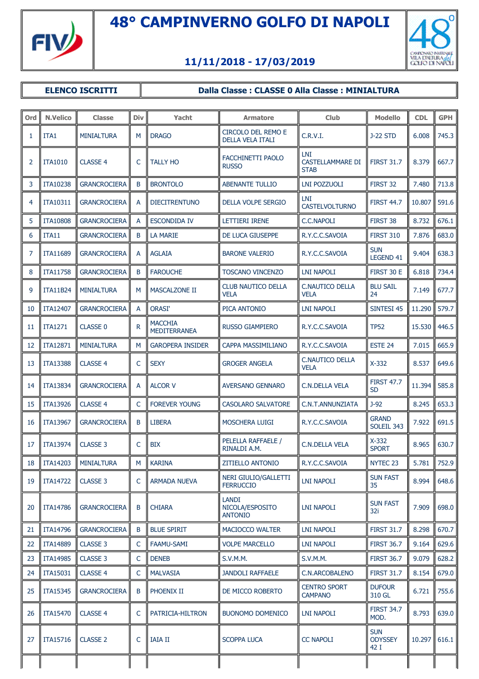



## **11/11/2018 - 17/03/2019**

## **ELENCO ISCRITTI | Dalla Classe : CLASSE 0 Alla Classe : MINIALTURA**

| Ord | <b>N.Velico</b> | <b>Classe</b>       | <b>Div</b> | Yacht                                 | <b>Armatore</b>                                   | <b>Club</b>                            | <b>Modello</b>                       | <b>CDL</b> | <b>GPH</b> |
|-----|-----------------|---------------------|------------|---------------------------------------|---------------------------------------------------|----------------------------------------|--------------------------------------|------------|------------|
| 1   | ITA1            | <b>MINIALTURA</b>   | M          | <b>DRAGO</b>                          | <b>CIRCOLO DEL REMO E</b><br>DELLA VELA ITALI     | C.R.V.I.                               | <b>J-22 STD</b>                      | 6.008      | 745.3      |
| 2   | <b>ITA1010</b>  | <b>CLASSE 4</b>     | C          | <b>TALLY HO</b>                       | FACCHINETTI PAOLO<br><b>RUSSO</b>                 | LNI<br>CASTELLAMMARE DI<br><b>STAB</b> | <b>FIRST 31.7</b>                    | 8.379      | 667.7      |
| 3   | <b>ITA10238</b> | <b>GRANCROCIERA</b> | B          | <b>BRONTOLO</b>                       | <b>ABENANTE TULLIO</b>                            | <b>LNI POZZUOLI</b>                    | FIRST 32                             | 7.480      | 713.8      |
| 4   | ITA10311        | <b>GRANCROCIERA</b> | A          | <b>DIECITRENTUNO</b>                  | <b>DELLA VOLPE SERGIO</b>                         | LNI.<br><b>CASTELVOLTURNO</b>          | <b>FIRST 44.7</b>                    | 10.807     | 591.6      |
| 5   | <b>ITA10808</b> | <b>GRANCROCIERA</b> | A          | <b>ESCONDIDA IV</b>                   | <b>LETTIERI IRENE</b>                             | C.C.NAPOLI                             | FIRST 38                             | 8.732      | 676.1      |
| 6   | ITA11           | <b>GRANCROCIERA</b> | B          | <b>LA MARIE</b>                       | DE LUCA GIUSEPPE                                  | R.Y.C.C.SAVOIA                         | <b>FIRST 310</b>                     | 7.876      | 683.0      |
| 7   | <b>ITA11689</b> | <b>GRANCROCIERA</b> | A          | <b>AGLAIA</b>                         | <b>BARONE VALERIO</b>                             | R.Y.C.C.SAVOIA                         | <b>SUN</b><br><b>LEGEND 41</b>       | 9.404      | 638.3      |
| 8   | <b>ITA11758</b> | <b>GRANCROCIERA</b> | B          | <b>FAROUCHE</b>                       | <b>TOSCANO VINCENZO</b>                           | LNI NAPOLI                             | FIRST 30 E                           | 6.818      | 734.4      |
| 9   | <b>ITA11B24</b> | <b>MINIALTURA</b>   | M          | <b>MASCALZONE II</b>                  | <b>CLUB NAUTICO DELLA</b><br><b>VELA</b>          | <b>C.NAUTICO DELLA</b><br><b>VELA</b>  | <b>BLU SAIL</b><br>24                | 7.149      | 677.7      |
| 10  | <b>ITA12407</b> | <b>GRANCROCIERA</b> | A          | <b>ORASI'</b>                         | PICA ANTONIO                                      | LNI NAPOLI                             | SINTESI 45                           | 11.290     | 579.7      |
| 11  | <b>ITA1271</b>  | <b>CLASSE 0</b>     | R.         | <b>MACCHIA</b><br><b>MEDITERRANEA</b> | <b>RUSSO GIAMPIERO</b>                            | R.Y.C.C.SAVOIA                         | <b>TP52</b>                          | 15.530     | 446.5      |
| 12  | <b>ITA12871</b> | <b>MINIALTURA</b>   | M          | <b>GAROPERA INSIDER</b>               | CAPPA MASSIMILIANO                                | R.Y.C.C.SAVOIA                         | ESTE 24                              | 7.015      | 665.9      |
| 13  | <b>ITA13388</b> | <b>CLASSE 4</b>     | C          | <b>SEXY</b>                           | <b>GROGER ANGELA</b>                              | <b>C.NAUTICO DELLA</b><br><b>VELA</b>  | $X-332$                              | 8.537      | 649.6      |
| 14  | <b>ITA13834</b> | <b>GRANCROCIERA</b> | A          | <b>ALCOR V</b>                        | <b>AVERSANO GENNARO</b>                           | C.N.DELLA VELA                         | <b>FIRST 47.7</b><br><b>SD</b>       | 11.394     | 585.8      |
| 15  | <b>ITA13926</b> | <b>CLASSE 4</b>     | C          | <b>FOREVER YOUNG</b>                  | <b>CASOLARO SALVATORE</b>                         | C.N.T.ANNUNZIATA                       | $J-92$                               | 8.245      | 653.3      |
| 16  | <b>ITA13967</b> | <b>GRANCROCIERA</b> | B          | <b>LIBERA</b>                         | <b>MOSCHERA LUIGI</b>                             | R.Y.C.C.SAVOIA                         | <b>GRAND</b><br>SOLEIL 343           | 7.922      | 691.5      |
| 17  | ITA13974        | <b>CLASSE 3</b>     | C          | <b>BIX</b>                            | PELELLA RAFFAELE /<br>RINALDI A.M.                | C.N.DELLA VELA                         | $X-332$<br><b>SPORT</b>              | 8.965      | 630.7      |
| 18  | <b>ITA14203</b> | <b>MINIALTURA</b>   | М          | <b>KARINA</b>                         | <b>ZITIELLO ANTONIO</b>                           | R.Y.C.C.SAVOIA                         | NYTEC 23                             | 5.781      | 752.9      |
| 19  | <b>ITA14722</b> | <b>CLASSE 3</b>     | C          | <b>ARMADA NUEVA</b>                   | NERI GIULIO/GALLETTI<br><b>FERRUCCIO</b>          | <b>LNI NAPOLI</b>                      | <b>SUN FAST</b><br>35                | 8.994      | 648.6      |
| 20  | <b>ITA14786</b> | <b>GRANCROCIERA</b> | B          | <b>CHIARA</b>                         | <b>LANDI</b><br>NICOLA/ESPOSITO<br><b>ANTONIO</b> | LNI NAPOLI                             | <b>SUN FAST</b><br>32i               | 7.909      | 698.0      |
| 21  | <b>ITA14796</b> | <b>GRANCROCIERA</b> | B          | <b>BLUE SPIRIT</b>                    | MACIOCCO WALTER                                   | <b>LNI NAPOLI</b>                      | <b>FIRST 31.7</b>                    | 8.298      | 670.7      |
| 22  | <b>ITA14889</b> | CLASSE 3            | C          | <b>FAAMU-SAMI</b>                     | <b>VOLPE MARCELLO</b>                             | <b>LNI NAPOLI</b>                      | <b>FIRST 36.7</b>                    | 9.164      | 629.6      |
| 23  | <b>ITA14985</b> | <b>CLASSE 3</b>     | C          | <b>DENEB</b>                          | S.V.M.M.                                          | S.V.M.M.                               | <b>FIRST 36.7</b>                    | 9.079      | 628.2      |
| 24  | <b>ITA15031</b> | CLASSE 4            | C          | <b>MALVASIA</b>                       | <b>JANDOLI RAFFAELE</b>                           | C.N.ARCOBALENO                         | <b>FIRST 31.7</b>                    | 8.154      | 679.0      |
| 25  | <b>ITA15345</b> | <b>GRANCROCIERA</b> | B          | PHOENIX II                            | DE MICCO ROBERTO                                  | <b>CENTRO SPORT</b><br><b>CAMPANO</b>  | <b>DUFOUR</b><br>310 GL              | 6.721      | 755.6      |
| 26  | <b>ITA15470</b> | <b>CLASSE 4</b>     | C          | PATRICIA-HILTRON                      | <b>BUONOMO DOMENICO</b>                           | LNI NAPOLI                             | <b>FIRST 34.7</b><br>MOD.            | 8.793      | 639.0      |
| 27  | <b>ITA15716</b> | <b>CLASSE 2</b>     | C          | <b>IAIA II</b>                        | <b>SCOPPA LUCA</b>                                | <b>CC NAPOLI</b>                       | <b>SUN</b><br><b>ODYSSEY</b><br>42 I | 10.297     | 616.1      |
|     |                 |                     |            |                                       |                                                   |                                        |                                      |            |            |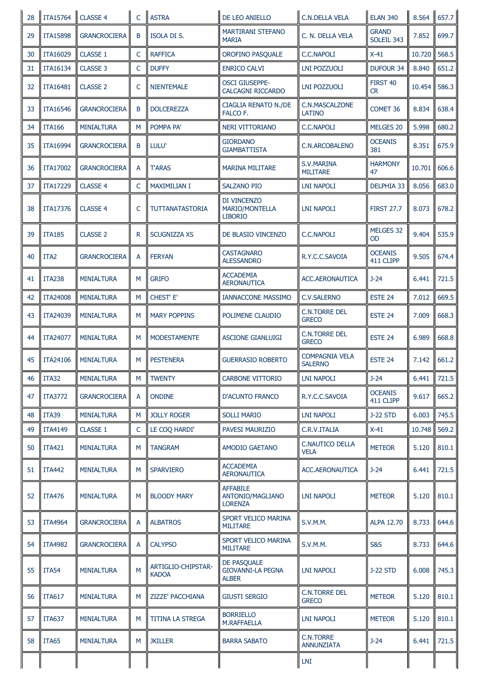| 28 | <b>ITA15764</b>  | CLASSE 4            | $\mathsf{C}$ | <b>ASTRA</b>                       | DE LEO ANIELLO                                          | <b>C.N.DELLA VELA</b>                   | <b>ELAN 340</b>             | 8.564  | 657.7 |
|----|------------------|---------------------|--------------|------------------------------------|---------------------------------------------------------|-----------------------------------------|-----------------------------|--------|-------|
| 29 | <b>ITA15898</b>  | <b>GRANCROCIERA</b> | B            | <b>ISOLA DI S.</b>                 | <b>MARTIRANI STEFANO</b><br><b>MARIA</b>                | C. N. DELLA VELA                        | <b>GRAND</b><br>SOLEIL 343  | 7.852  | 699.7 |
| 30 | ITA16029         | CLASSE 1            | C            | <b>RAFFICA</b>                     | OROFINO PASQUALE                                        | <b>C.C.NAPOLI</b>                       | $X-41$                      | 10.720 | 568.5 |
| 31 | <b>ITA16134</b>  | <b>CLASSE 3</b>     | $\mathsf{C}$ | <b>DUFFY</b>                       | <b>ENRICO CALVI</b>                                     | <b>LNI POZZUOLI</b>                     | <b>DUFOUR 34</b>            | 8.840  | 651.2 |
| 32 | <b>ITA16481</b>  | <b>CLASSE 2</b>     | $\mathsf{C}$ | <b>NIENTEMALE</b>                  | <b>OSCI GIUSEPPE-</b><br><b>CALCAGNI RICCARDO</b>       | <b>LNI POZZUOLI</b>                     | FIRST 40<br>CR.             | 10.454 | 586.3 |
| 33 | <b>ITA16546</b>  | <b>GRANCROCIERA</b> | B            | <b>DOLCEREZZA</b>                  | <b>CIAGLIA RENATO N./DE</b><br>FALCO F.                 | C.N.MASCALZONE<br><b>LATINO</b>         | COMET 36                    | 8.834  | 638.4 |
| 34 | <b>ITA166</b>    | <b>MINIALTURA</b>   | М            | POMPA PA'                          | NERI VITTORIANO                                         | <b>C.C.NAPOLI</b>                       | MELGES 20                   | 5.998  | 680.2 |
| 35 | <b>ITA16994</b>  | <b>GRANCROCIERA</b> | B            | LULU'                              | <b>GIORDANO</b><br><b>GIAMBATTISTA</b>                  | <b>C.N.ARCOBALENO</b>                   | <b>OCEANIS</b><br>381       | 8.351  | 675.9 |
| 36 | <b>ITA17002</b>  | <b>GRANCROCIERA</b> | A            | <b>T'ARAS</b>                      | <b>MARINA MILITARE</b>                                  | S.V.MARINA<br><b>MILITARE</b>           | <b>HARMONY</b><br>47        | 10.701 | 606.6 |
| 37 | ITA17229         | <b>CLASSE 4</b>     | $\mathsf{C}$ | <b>MAXIMILIAN I</b>                | <b>SALZANO PIO</b>                                      | LNI NAPOLI                              | <b>DELPHIA 33</b>           | 8.056  | 683.0 |
| 38 | ITA17376         | <b>CLASSE 4</b>     | $\mathsf{C}$ | TUTTANATASTORIA                    | DI VINCENZO<br>MARIO/MONTELLA<br><b>LIBORIO</b>         | <b>LNI NAPOLI</b>                       | <b>FIRST 27.7</b>           | 8.073  | 678.2 |
| 39 | <b>ITA185</b>    | <b>CLASSE 2</b>     | $\mathsf{R}$ | <b>SCUGNIZZA XS</b>                | DE BLASIO VINCENZO                                      | <b>C.C.NAPOLI</b>                       | MELGES 32<br>OD             | 9.404  | 535.9 |
| 40 | ITA <sub>2</sub> | <b>GRANCROCIERA</b> | A            | <b>FERYAN</b>                      | <b>CASTAGNARO</b><br><b>ALESSANDRO</b>                  | R.Y.C.C.SAVOIA                          | <b>OCEANIS</b><br>411 CLIPP | 9.505  | 674.4 |
| 41 | <b>ITA238</b>    | <b>MINIALTURA</b>   | M            | <b>GRIFO</b>                       | <b>ACCADEMIA</b><br><b>AERONAUTICA</b>                  | <b>ACC.AERONAUTICA</b>                  | $J-24$                      | 6.441  | 721.5 |
| 42 | <b>ITA24008</b>  | <b>MINIALTURA</b>   | M            | CHEST' E'                          | <b>IANNACCONE MASSIMO</b>                               | <b>C.V.SALERNO</b>                      | ESTE 24                     | 7.012  | 669.5 |
| 43 | ITA24039         | <b>MINIALTURA</b>   | M            | <b>MARY POPPINS</b>                | POLIMENE CLAUDIO                                        | <b>C.N.TORRE DEL</b><br><b>GRECO</b>    | ESTE 24                     | 7.009  | 668.3 |
| 44 | <b>ITA24077</b>  | <b>MINIALTURA</b>   | M            | <b>MODESTAMENTE</b>                | <b>ASCIONE GIANLUIGI</b>                                | <b>C.N.TORRE DEL</b><br><b>GRECO</b>    | ESTE 24                     | 6.989  | 668.8 |
| 45 | <b>ITA24106</b>  | <b>MINIALTURA</b>   | M            | <b>PESTENERA</b>                   | <b>GUERRASIO ROBERTO</b>                                | <b>COMPAGNIA VELA</b><br><b>SALERNO</b> | ESTE 24                     | 7.142  | 661.2 |
| 46 | ITA32            | <b>MINIALTURA</b>   | M            | <b>TWENTY</b>                      | <b>CARBONE VITTORIO</b>                                 | <b>LNI NAPOLI</b>                       | $J - 24$                    | 6.441  | 721.5 |
| 47 | <b>ITA3772</b>   | <b>GRANCROCIERA</b> | A            | <b>ONDINE</b>                      | <b>D'ACUNTO FRANCO</b>                                  | R.Y.C.C.SAVOIA                          | <b>OCEANIS</b><br>411 CLIPP | 9.617  | 665.2 |
| 48 | ITA39            | <b>MINIALTURA</b>   | M            | <b>JOLLY ROGER</b>                 | <b>SOLLI MARIO</b>                                      | <b>LNI NAPOLI</b>                       | <b>J-22 STD</b>             | 6.003  | 745.5 |
| 49 | <b>ITA4149</b>   | <b>CLASSE 1</b>     | $\mathsf{C}$ | LE COQ HARDI'                      | <b>PAVESI MAURIZIO</b>                                  | C.R.V.ITALIA                            | $X-41$                      | 10.748 | 569.2 |
| 50 | <b>ITA421</b>    | <b>MINIALTURA</b>   | М            | <b>TANGRAM</b>                     | AMODIO GAETANO                                          | <b>C.NAUTICO DELLA</b><br><b>VELA</b>   | <b>METEOR</b>               | 5.120  | 810.1 |
| 51 | <b>ITA442</b>    | <b>MINIALTURA</b>   | М            | <b>SPARVIERO</b>                   | <b>ACCADEMIA</b><br><b>AERONAUTICA</b>                  | <b>ACC.AERONAUTICA</b>                  | J-24                        | 6.441  | 721.5 |
| 52 | <b>ITA476</b>    | <b>MINIALTURA</b>   | M            | <b>BLOODY MARY</b>                 | <b>AFFABILE</b><br>ANTONIO/MAGLIANO<br><b>LORENZA</b>   | <b>LNI NAPOLI</b>                       | <b>METEOR</b>               | 5.120  | 810.1 |
| 53 | <b>ITA4964</b>   | <b>GRANCROCIERA</b> | A            | <b>ALBATROS</b>                    | SPORT VELICO MARINA<br><b>MILITARE</b>                  | <b>S.V.M.M.</b>                         | ALPA 12.70                  | 8.733  | 644.6 |
| 54 | <b>ITA4982</b>   | <b>GRANCROCIERA</b> | A            | <b>CALYPSO</b>                     | SPORT VELICO MARINA<br><b>MILITARE</b>                  | <b>S.V.M.M.</b>                         | <b>S&amp;S</b>              | 8.733  | 644.6 |
| 55 | <b>ITA54</b>     | <b>MINIALTURA</b>   | M            | ARTIGLIO-CHIPSTAR-<br><b>KADOA</b> | DE PASQUALE<br><b>GIOVANNI-LA PEGNA</b><br><b>ALBER</b> | <b>LNI NAPOLI</b>                       | <b>J-22 STD</b>             | 6.008  | 745.3 |
| 56 | <b>ITA617</b>    | <b>MINIALTURA</b>   | M            | <b>ZIZZE' PACCHIANA</b>            | <b>GIUSTI SERGIO</b>                                    | <b>C.N.TORRE DEL</b><br><b>GRECO</b>    | <b>METEOR</b>               | 5.120  | 810.1 |
| 57 | <b>ITA637</b>    | <b>MINIALTURA</b>   | M            | TITINA LA STREGA                   | <b>BORRIELLO</b><br>M.RAFFAELLA                         | <b>LNI NAPOLI</b>                       | <b>METEOR</b>               | 5.120  | 810.1 |
| 58 | ITA65            | <b>MINIALTURA</b>   | M            | <b>JKILLER</b>                     | <b>BARRA SABATO</b>                                     | <b>C.N.TORRE</b><br><b>ANNUNZIATA</b>   | $J-24$                      | 6.441  | 721.5 |
|    |                  |                     |              |                                    |                                                         | LNI                                     |                             |        |       |